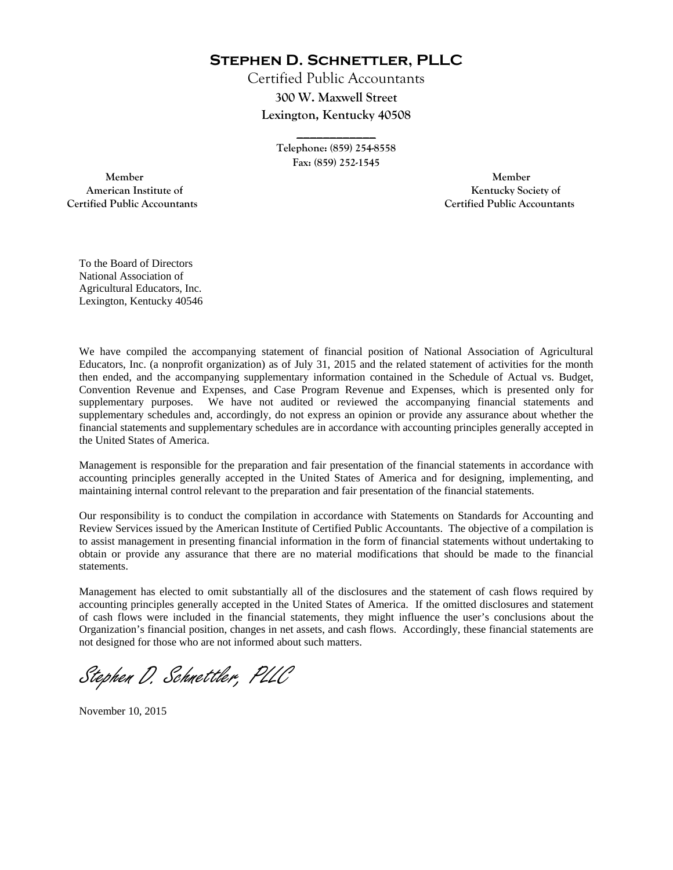**Stephen D. Schnettler, PLLC**

Certified Public Accountants **300 W. Maxwell Street Lexington, Kentucky 40508** 

> **Telephone: (859) 254-8558 Fax: (859) 252-1545**

**\_\_\_\_\_\_\_\_\_\_\_\_** 

 **Member Member Certified Public Accountants Certified Public Accountants** 

American Institute of **Kentucky Society of American Institute of** 

To the Board of Directors National Association of Agricultural Educators, Inc. Lexington, Kentucky 40546

We have compiled the accompanying statement of financial position of National Association of Agricultural Educators, Inc. (a nonprofit organization) as of July 31, 2015 and the related statement of activities for the month then ended, and the accompanying supplementary information contained in the Schedule of Actual vs. Budget, Convention Revenue and Expenses, and Case Program Revenue and Expenses, which is presented only for supplementary purposes. We have not audited or reviewed the accompanying financial statements and supplementary schedules and, accordingly, do not express an opinion or provide any assurance about whether the financial statements and supplementary schedules are in accordance with accounting principles generally accepted in the United States of America.

Management is responsible for the preparation and fair presentation of the financial statements in accordance with accounting principles generally accepted in the United States of America and for designing, implementing, and maintaining internal control relevant to the preparation and fair presentation of the financial statements.

Our responsibility is to conduct the compilation in accordance with Statements on Standards for Accounting and Review Services issued by the American Institute of Certified Public Accountants. The objective of a compilation is to assist management in presenting financial information in the form of financial statements without undertaking to obtain or provide any assurance that there are no material modifications that should be made to the financial statements.

Management has elected to omit substantially all of the disclosures and the statement of cash flows required by accounting principles generally accepted in the United States of America. If the omitted disclosures and statement of cash flows were included in the financial statements, they might influence the user's conclusions about the Organization's financial position, changes in net assets, and cash flows. Accordingly, these financial statements are not designed for those who are not informed about such matters.

Stephen D. Schnettler, PLLC

November 10, 2015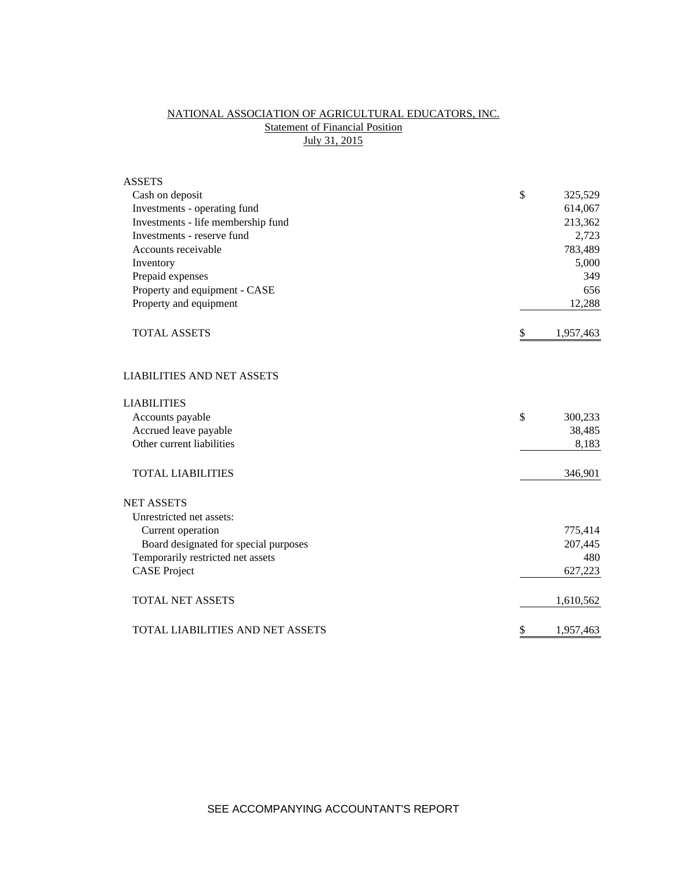## NATIONAL ASSOCIATION OF AGRICULTURAL EDUCATORS, INC. **Statement of Financial Position** July 31, 2015

| <b>ASSETS</b>                         |                 |
|---------------------------------------|-----------------|
| Cash on deposit                       | \$<br>325,529   |
| Investments - operating fund          | 614,067         |
| Investments - life membership fund    | 213,362         |
| Investments - reserve fund            | 2,723           |
| Accounts receivable                   | 783,489         |
| Inventory                             | 5,000           |
| Prepaid expenses                      | 349             |
| Property and equipment - CASE         | 656             |
| Property and equipment                | 12,288          |
| <b>TOTAL ASSETS</b>                   | \$<br>1,957,463 |
| <b>LIABILITIES AND NET ASSETS</b>     |                 |
| <b>LIABILITIES</b>                    |                 |
| Accounts payable                      | \$<br>300,233   |
| Accrued leave payable                 | 38,485          |
| Other current liabilities             | 8,183           |
| <b>TOTAL LIABILITIES</b>              | 346,901         |
| <b>NET ASSETS</b>                     |                 |
| Unrestricted net assets:              |                 |
| Current operation                     | 775,414         |
| Board designated for special purposes | 207,445         |
| Temporarily restricted net assets     | 480             |
| <b>CASE Project</b>                   | 627,223         |
| <b>TOTAL NET ASSETS</b>               | 1,610,562       |
| TOTAL LIABILITIES AND NET ASSETS      | \$<br>1,957,463 |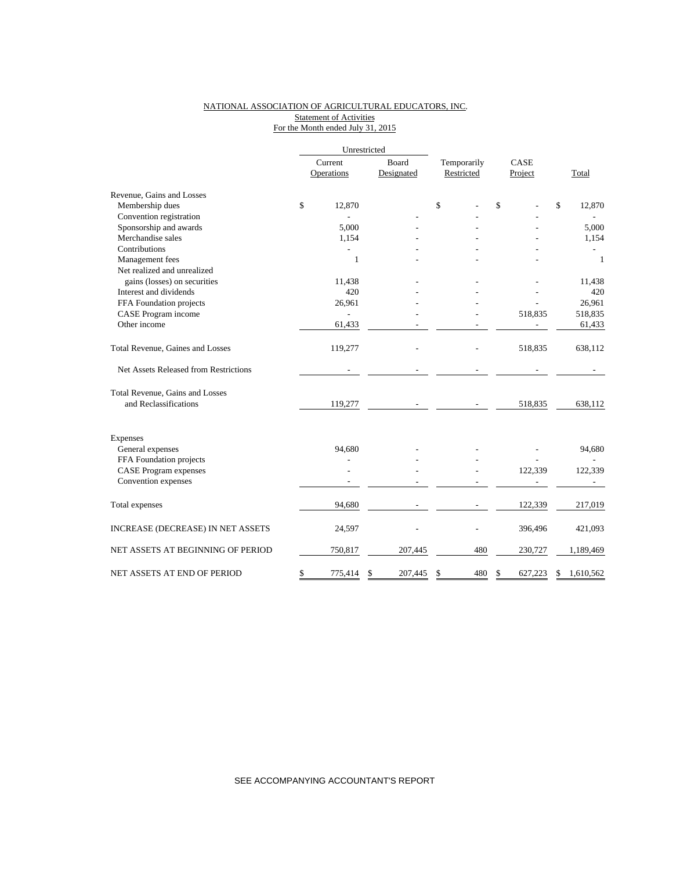### NATIONAL ASSOCIATION OF AGRICULTURAL EDUCATORS, INC. Statement of Activities For the Month ended July 31, 2015

|                                       | Unrestricted |                       |                     |  |                           |     |                 |         |                 |
|---------------------------------------|--------------|-----------------------|---------------------|--|---------------------------|-----|-----------------|---------|-----------------|
|                                       |              | Current<br>Operations | Board<br>Designated |  | Temporarily<br>Restricted |     | CASE<br>Project |         | Total           |
|                                       |              |                       |                     |  |                           |     |                 |         |                 |
| Revenue, Gains and Losses             |              |                       |                     |  |                           |     |                 |         |                 |
| Membership dues                       | \$           | 12,870                |                     |  | \$                        |     | \$              |         | \$<br>12,870    |
| Convention registration               |              |                       |                     |  |                           |     |                 |         |                 |
| Sponsorship and awards                |              | 5,000                 |                     |  |                           |     |                 |         | 5,000           |
| Merchandise sales                     |              | 1,154                 |                     |  |                           |     |                 |         | 1,154           |
| Contributions                         |              |                       |                     |  |                           |     |                 |         |                 |
| Management fees                       |              | $\mathbf{1}$          |                     |  |                           |     |                 |         | $\mathbf{1}$    |
| Net realized and unrealized           |              |                       |                     |  |                           |     |                 |         |                 |
| gains (losses) on securities          |              | 11,438                |                     |  |                           |     |                 |         | 11,438          |
| Interest and dividends                |              | 420                   |                     |  |                           |     |                 |         | 420             |
| FFA Foundation projects               |              | 26,961                |                     |  |                           |     |                 |         | 26,961          |
| CASE Program income                   |              |                       |                     |  |                           |     |                 | 518,835 | 518,835         |
| Other income                          |              | 61,433                |                     |  |                           |     |                 |         | 61,433          |
| Total Revenue, Gaines and Losses      |              | 119,277               |                     |  |                           |     |                 | 518,835 | 638,112         |
| Net Assets Released from Restrictions |              |                       |                     |  |                           |     |                 |         |                 |
| Total Revenue, Gains and Losses       |              |                       |                     |  |                           |     |                 |         |                 |
| and Reclassifications                 |              | 119,277               |                     |  |                           |     |                 | 518,835 | 638,112         |
| <b>Expenses</b>                       |              |                       |                     |  |                           |     |                 |         |                 |
| General expenses                      |              | 94,680                |                     |  |                           |     |                 |         | 94,680          |
| FFA Foundation projects               |              |                       |                     |  |                           |     |                 |         |                 |
| <b>CASE</b> Program expenses          |              |                       |                     |  |                           |     |                 | 122,339 | 122,339         |
| Convention expenses                   |              |                       |                     |  |                           |     |                 |         |                 |
|                                       |              |                       |                     |  |                           |     |                 |         |                 |
| Total expenses                        |              | 94,680                |                     |  |                           |     |                 | 122,339 | 217,019         |
| INCREASE (DECREASE) IN NET ASSETS     |              | 24,597                |                     |  |                           |     |                 | 396,496 | 421,093         |
| NET ASSETS AT BEGINNING OF PERIOD     |              | 750,817               | 207,445             |  |                           | 480 |                 | 230,727 | 1,189,469       |
| NET ASSETS AT END OF PERIOD           | \$           | 775,414               | \$<br>207,445       |  | \$                        | 480 | \$              | 627.223 | \$<br>1,610,562 |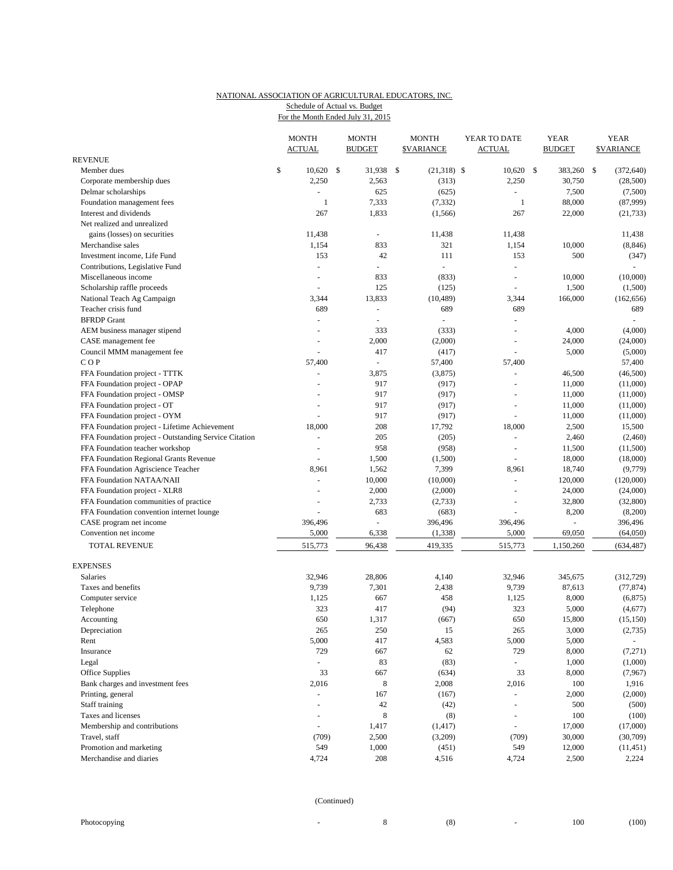# NATIONAL ASSOCIATION OF AGRICULTURAL EDUCATORS, INC.

Schedule of Actual vs. Budget

| For the Month Ended July 31, 2015 |  |
|-----------------------------------|--|
|                                   |  |

|                                                       | <b>MONTH</b><br><b>ACTUAL</b> | <b>MONTH</b><br><b>BUDGET</b> |        | <b>MONTH</b><br><b>\$VARIANCE</b> |                     | YEAR TO DATE<br><b>ACTUAL</b> |                |     | <b>YEAR</b><br><b>BUDGET</b> |     | <b>YEAR</b><br><b>SVARIANCE</b> |  |
|-------------------------------------------------------|-------------------------------|-------------------------------|--------|-----------------------------------|---------------------|-------------------------------|----------------|-----|------------------------------|-----|---------------------------------|--|
| <b>REVENUE</b>                                        |                               |                               |        |                                   |                     |                               |                |     |                              |     |                                 |  |
| Member dues                                           | \$<br>10,620                  | -\$                           | 31,938 | -\$                               | $(21,318)$ \$       |                               | 10,620         | -\$ | 383,260                      | -\$ | (372, 640)                      |  |
| Corporate membership dues                             | 2,250                         |                               | 2,563  |                                   | (313)               |                               | 2,250          |     | 30,750                       |     | (28,500)                        |  |
| Delmar scholarships                                   |                               |                               | 625    |                                   | (625)               |                               | $\blacksquare$ |     | 7,500                        |     | (7,500)                         |  |
| Foundation management fees                            | 1                             |                               | 7,333  |                                   | (7, 332)            |                               | $\mathbf{1}$   |     | 88,000                       |     | (87,999)                        |  |
| Interest and dividends                                | 267                           |                               | 1,833  |                                   | (1, 566)            |                               | 267            |     | 22,000                       |     | (21, 733)                       |  |
| Net realized and unrealized                           |                               |                               |        |                                   |                     |                               |                |     |                              |     |                                 |  |
| gains (losses) on securities                          | 11,438                        |                               |        |                                   | 11,438              |                               | 11,438         |     |                              |     | 11,438                          |  |
| Merchandise sales                                     | 1,154                         |                               | 833    |                                   | 321                 |                               | 1,154          |     | 10,000                       |     | (8, 846)                        |  |
| Investment income, Life Fund                          | 153                           |                               | 42     |                                   | 111                 |                               | 153            |     | 500                          |     | (347)                           |  |
| Contributions, Legislative Fund                       | ÷,                            |                               | ÷.     |                                   | $\bar{\phantom{a}}$ |                               | ÷,             |     |                              |     |                                 |  |
| Miscellaneous income                                  | $\blacksquare$                |                               | 833    |                                   | (833)               |                               | $\sim$         |     | 10,000                       |     | (10,000)                        |  |
| Scholarship raffle proceeds                           |                               |                               | 125    |                                   | (125)               |                               |                |     | 1,500                        |     | (1,500)                         |  |
| National Teach Ag Campaign                            | 3,344                         |                               | 13,833 |                                   | (10, 489)           |                               | 3,344          |     | 166,000                      |     | (162, 656)                      |  |
| Teacher crisis fund                                   | 689                           |                               | ä,     |                                   | 689                 |                               | 689            |     |                              |     | 689                             |  |
| <b>BFRDP</b> Grant                                    |                               |                               | L,     |                                   | ä,                  |                               | ÷,             |     |                              |     |                                 |  |
| AEM business manager stipend                          |                               |                               | 333    |                                   | (333)               |                               | $\overline{a}$ |     | 4,000                        |     | (4,000)                         |  |
| CASE management fee                                   | $\overline{a}$                |                               | 2,000  |                                   | (2,000)             |                               | $\overline{a}$ |     | 24,000                       |     | (24,000)                        |  |
| Council MMM management fee                            |                               |                               | 417    |                                   | (417)               |                               | ÷,             |     | 5,000                        |     | (5,000)                         |  |
| COP                                                   | 57,400                        |                               | $\Box$ |                                   | 57,400              |                               | 57,400         |     |                              |     | 57,400                          |  |
| FFA Foundation project - TTTK                         |                               |                               | 3,875  |                                   | (3,875)             |                               | $\sim$         |     | 46,500                       |     | (46,500)                        |  |
| FFA Foundation project - OPAP                         |                               |                               | 917    |                                   | (917)               |                               | ÷.             |     | 11,000                       |     | (11,000)                        |  |
| FFA Foundation project - OMSP                         |                               |                               | 917    |                                   | (917)               |                               |                |     | 11,000                       |     | (11,000)                        |  |
| FFA Foundation project - OT                           |                               |                               | 917    |                                   | (917)               |                               | $\sim$         |     | 11,000                       |     | (11,000)                        |  |
| FFA Foundation project - OYM                          |                               |                               | 917    |                                   | (917)               |                               | ÷,             |     | 11,000                       |     | (11,000)                        |  |
| FFA Foundation project - Lifetime Achievement         | 18,000                        |                               | 208    |                                   | 17,792              |                               | 18,000         |     | 2,500                        |     | 15,500                          |  |
| FFA Foundation project - Outstanding Service Citation |                               |                               | 205    |                                   | (205)               |                               | ÷,             |     | 2,460                        |     | (2,460)                         |  |
| FFA Foundation teacher workshop                       | L,                            |                               | 958    |                                   | (958)               |                               | $\sim$         |     | 11,500                       |     | (11,500)                        |  |
| FFA Foundation Regional Grants Revenue                |                               |                               | 1,500  |                                   | (1,500)             |                               | ÷,             |     | 18,000                       |     | (18,000)                        |  |
| FFA Foundation Agriscience Teacher                    | 8,961                         |                               | 1,562  |                                   | 7,399               |                               | 8,961          |     | 18,740                       |     | (9,779)                         |  |
| FFA Foundation NATAA/NAII                             |                               |                               | 10,000 |                                   | (10,000)            |                               | ÷,             |     | 120,000                      |     | (120,000)                       |  |
| FFA Foundation project - XLR8                         |                               |                               | 2,000  |                                   | (2,000)             |                               | ÷.             |     | 24,000                       |     | (24,000)                        |  |
| FFA Foundation communities of practice                |                               |                               | 2,733  |                                   | (2,733)             |                               | ÷,             |     | 32,800                       |     | (32, 800)                       |  |
| FFA Foundation convention internet lounge             |                               |                               | 683    |                                   | (683)               |                               |                |     | 8,200                        |     | (8,200)                         |  |
| CASE program net income                               | 396,496                       |                               | L,     |                                   | 396,496             |                               | 396,496        |     |                              |     | 396,496                         |  |
| Convention net income                                 | 5,000                         |                               | 6,338  |                                   | (1, 338)            |                               | 5,000          |     | 69,050                       |     | (64,050)                        |  |
|                                                       |                               |                               |        |                                   |                     |                               |                |     |                              |     |                                 |  |
| <b>TOTAL REVENUE</b>                                  | 515,773                       |                               | 96,438 |                                   | 419,335             |                               | 515,773        |     | 1,150,260                    |     | (634, 487)                      |  |
| <b>EXPENSES</b>                                       |                               |                               |        |                                   |                     |                               |                |     |                              |     |                                 |  |
| Salaries                                              | 32,946                        |                               | 28,806 |                                   | 4,140               |                               | 32,946         |     | 345,675                      |     | (312, 729)                      |  |
| Taxes and benefits                                    | 9,739                         |                               | 7,301  |                                   | 2,438               |                               | 9,739          |     | 87,613                       |     | (77, 874)                       |  |
| Computer service                                      | 1,125                         |                               | 667    |                                   | 458                 |                               | 1,125          |     | 8,000                        |     | (6, 875)                        |  |
| Telephone                                             | 323                           |                               | 417    |                                   | (94)                |                               | 323            |     | 5,000                        |     | (4,677)                         |  |
| Accounting                                            | 650                           |                               | 1,317  |                                   | (667)               |                               | 650            |     | 15,800                       |     | (15, 150)                       |  |
| Depreciation                                          | 265                           |                               | 250    |                                   | 15                  |                               | 265            |     | 3,000                        |     | (2,735)                         |  |
| Rent                                                  | 5,000                         |                               | 417    |                                   | 4,583               |                               | 5,000          |     | 5,000                        |     | $\omega$                        |  |
|                                                       |                               |                               |        |                                   |                     |                               |                |     |                              |     |                                 |  |
| Insurance                                             | 729                           |                               | 667    |                                   | 62                  |                               | 729            |     | 8,000                        |     | (7,271)                         |  |
| Legal                                                 | ÷,                            |                               | 83     |                                   | (83)                |                               | $\Box$         |     | 1,000                        |     | (1,000)                         |  |
| Office Supplies                                       | 33                            |                               | 667    |                                   | (634)               |                               | 33             |     | 8,000                        |     | (7,967)                         |  |
| Bank charges and investment fees                      | 2,016                         |                               | 8      |                                   | 2,008               |                               | 2,016          |     | 100                          |     | 1,916                           |  |
| Printing, general                                     | $\blacksquare$                |                               | 167    |                                   | (167)               |                               | $\blacksquare$ |     | 2,000                        |     | (2,000)                         |  |
| Staff training                                        | ÷                             |                               | $42\,$ |                                   | (42)                |                               | $\blacksquare$ |     | 500                          |     | (500)                           |  |
| Taxes and licenses                                    |                               |                               | 8      |                                   | (8)                 |                               | $\bar{a}$      |     | 100                          |     | (100)                           |  |
| Membership and contributions                          | ÷,                            |                               | 1,417  |                                   | (1, 417)            |                               | $\blacksquare$ |     | 17,000                       |     | (17,000)                        |  |
| Travel, staff                                         | (709)                         |                               | 2,500  |                                   | (3,209)             |                               | (709)          |     | 30,000                       |     | (30,709)                        |  |
| Promotion and marketing                               | 549                           |                               | 1,000  |                                   | (451)               |                               | 549            |     | 12,000                       |     | (11, 451)                       |  |
| Merchandise and diaries                               | 4,724                         |                               | 208    |                                   | 4,516               |                               | 4,724          |     | 2,500                        |     | 2,224                           |  |

| (Continued) |
|-------------|
|-------------|

| Photocopying |  |  |
|--------------|--|--|

| Photocopving |  | (8) | 100 | (100) |
|--------------|--|-----|-----|-------|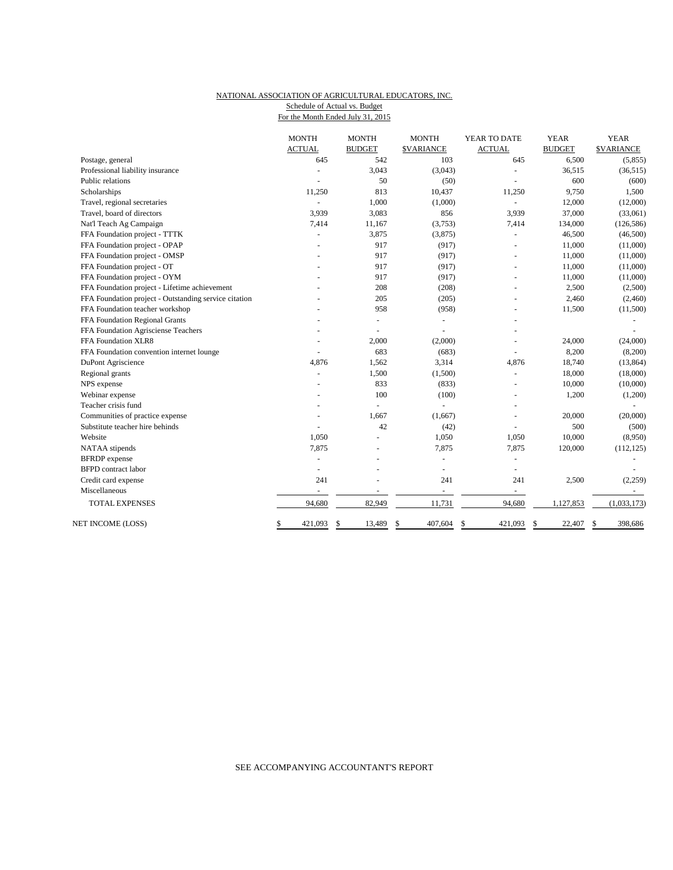### NATIONAL ASSOCIATION OF AGRICULTURAL EDUCATORS, INC. Schedule of Actual vs. Budget

| beneaure of rictual vs. Duucet    |  |
|-----------------------------------|--|
| For the Month Ended July 31, 2015 |  |

|                                                       | <b>MONTH</b><br><b>ACTUAL</b> | <b>MONTH</b><br><b>BUDGET</b> | <b>MONTH</b><br><b>\$VARIANCE</b> | YEAR TO DATE<br><b>ACTUAL</b> | <b>YEAR</b><br><b>BUDGET</b> | <b>YEAR</b><br><b>\$VARIANCE</b> |
|-------------------------------------------------------|-------------------------------|-------------------------------|-----------------------------------|-------------------------------|------------------------------|----------------------------------|
| Postage, general                                      | 645                           | 542                           | 103                               | 645                           | 6,500                        | (5,855)                          |
| Professional liability insurance                      |                               | 3,043                         | (3,043)                           |                               | 36,515                       | (36, 515)                        |
| Public relations                                      |                               | 50                            | (50)                              |                               | 600                          | (600)                            |
| Scholarships                                          | 11,250                        | 813                           | 10,437                            | 11,250                        | 9,750                        | 1,500                            |
| Travel, regional secretaries                          |                               | 1,000                         | (1,000)                           | $\sim$                        | 12,000                       | (12,000)                         |
| Travel, board of directors                            | 3,939                         | 3,083                         | 856                               | 3,939                         | 37,000                       | (33,061)                         |
| Nat'l Teach Ag Campaign                               | 7,414                         | 11,167                        | (3,753)                           | 7,414                         | 134,000                      | (126, 586)                       |
| FFA Foundation project - TTTK                         |                               | 3,875                         | (3,875)                           | $\sim$                        | 46,500                       | (46,500)                         |
| FFA Foundation project - OPAP                         |                               | 917                           | (917)                             | $\sim$                        | 11,000                       | (11,000)                         |
| FFA Foundation project - OMSP                         |                               | 917                           | (917)                             | Ξ                             | 11,000                       | (11,000)                         |
| FFA Foundation project - OT                           |                               | 917                           | (917)                             |                               | 11,000                       | (11,000)                         |
| FFA Foundation project - OYM                          |                               | 917                           | (917)                             |                               | 11,000                       | (11,000)                         |
| FFA Foundation project - Lifetime achievement         |                               | 208                           | (208)                             |                               | 2,500                        | (2,500)                          |
| FFA Foundation project - Outstanding service citation |                               | 205                           | (205)                             |                               | 2,460                        | (2,460)                          |
| FFA Foundation teacher workshop                       |                               | 958                           | (958)                             |                               | 11,500                       | (11,500)                         |
| FFA Foundation Regional Grants                        |                               |                               |                                   |                               |                              |                                  |
| FFA Foundation Agrisciense Teachers                   |                               | ÷,                            |                                   |                               |                              |                                  |
| FFA Foundation XLR8                                   |                               | 2,000                         | (2,000)                           |                               | 24,000                       | (24,000)                         |
| FFA Foundation convention internet lounge             |                               | 683                           | (683)                             |                               | 8,200                        | (8,200)                          |
| DuPont Agriscience                                    | 4,876                         | 1,562                         | 3,314                             | 4,876                         | 18,740                       | (13, 864)                        |
| Regional grants                                       |                               | 1,500                         | (1,500)                           | $\sim$                        | 18,000                       | (18,000)                         |
| NPS expense                                           |                               | 833                           | (833)                             | Ξ                             | 10,000                       | (10,000)                         |
| Webinar expense                                       |                               | 100                           | (100)                             | $\overline{a}$                | 1,200                        | (1,200)                          |
| Teacher crisis fund                                   |                               | L,                            |                                   |                               |                              |                                  |
| Communities of practice expense                       |                               | 1.667                         | (1,667)                           | $\overline{a}$                | 20,000                       | (20,000)                         |
| Substitute teacher hire behinds                       |                               | 42                            | (42)                              | $\overline{a}$                | 500                          | (500)                            |
| Website                                               | 1.050                         | $\overline{a}$                | 1,050                             | 1,050                         | 10,000                       | (8,950)                          |
| NATAA stipends                                        | 7,875                         |                               | 7,875                             | 7,875                         | 120,000                      | (112, 125)                       |
| <b>BFRDP</b> expense                                  | $\overline{a}$                |                               |                                   | $\overline{a}$                |                              |                                  |
| <b>BFPD</b> contract labor                            | $\blacksquare$                |                               | $\bar{a}$                         | $\overline{a}$                |                              |                                  |
| Credit card expense                                   | 241                           |                               | 241                               | 241                           | 2,500                        | (2,259)                          |
| Miscellaneous                                         | $\overline{\phantom{a}}$      | $\overline{\phantom{a}}$      | $\overline{\phantom{a}}$          | $\sim$                        |                              | $\sim$                           |
| <b>TOTAL EXPENSES</b>                                 | 94,680                        | 82,949                        | 11,731                            | 94,680                        | 1,127,853                    | (1,033,173)                      |
| NET INCOME (LOSS)                                     | \$<br>421,093                 | \$<br>13,489                  | \$<br>407,604                     | \$<br>421,093                 | \$<br>22,407                 | 398,686<br>\$                    |

## SEE ACCOMPANYING ACCOUNTANT'S REPORT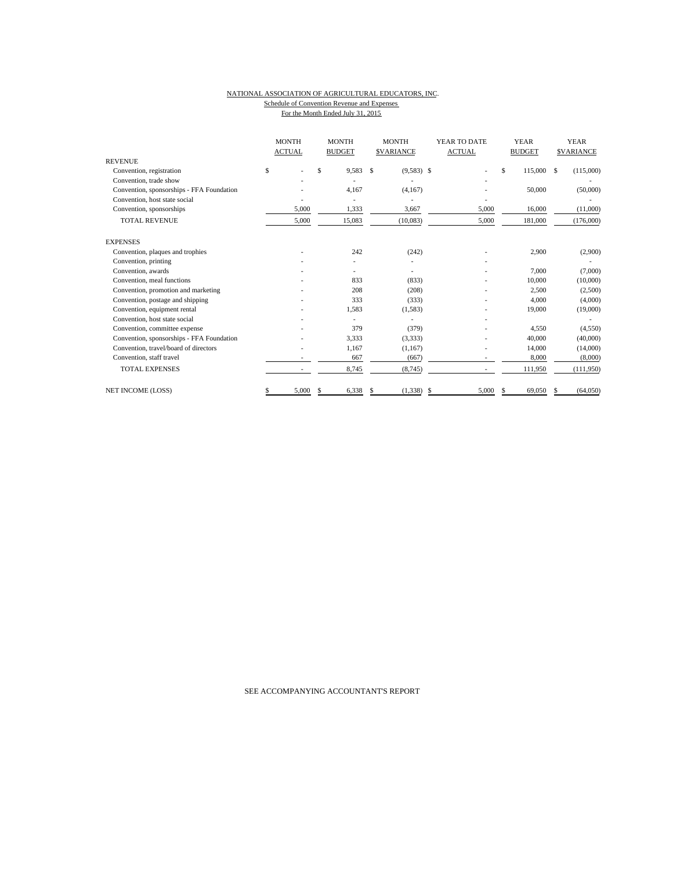#### NATIONAL ASSOCIATION OF AGRICULTURAL EDUCATORS, INC. Schedule of Convention Revenue and Expenses For the Month Ended July 31, 2015

|                                           |    | <b>MONTH</b> |    | <b>ACTUAL</b> |              |              |    | <b>MONTH</b><br><b>BUDGET</b> | <b>MONTH</b><br><b>ACTUAL</b><br><b>SVARIANCE</b> |         | YEAR TO DATE |           |  | <b>YEAR</b><br><b>BUDGET</b> |  | <b>YEAR</b><br><b>SVARIANCE</b> |
|-------------------------------------------|----|--------------|----|---------------|--------------|--------------|----|-------------------------------|---------------------------------------------------|---------|--------------|-----------|--|------------------------------|--|---------------------------------|
| <b>REVENUE</b>                            |    |              |    |               |              |              |    |                               |                                                   |         |              |           |  |                              |  |                                 |
| Convention, registration                  | \$ |              | \$ | 9,583         | $\mathbf{s}$ | $(9,583)$ \$ |    |                               | \$                                                | 115,000 | -S           | (115,000) |  |                              |  |                                 |
| Convention, trade show                    |    |              |    |               |              |              |    |                               |                                                   |         |              |           |  |                              |  |                                 |
| Convention, sponsorships - FFA Foundation |    |              |    | 4.167         |              | (4,167)      |    |                               |                                                   | 50,000  |              | (50,000)  |  |                              |  |                                 |
| Convention, host state social             |    |              |    |               |              |              |    |                               |                                                   |         |              |           |  |                              |  |                                 |
| Convention, sponsorships                  |    | 5,000        |    | 1,333         |              | 3,667        |    | 5,000                         |                                                   | 16,000  |              | (11,000)  |  |                              |  |                                 |
| <b>TOTAL REVENUE</b>                      |    | 5,000        |    | 15,083        |              | (10,083)     |    | 5,000                         |                                                   | 181,000 |              | (176,000) |  |                              |  |                                 |
| <b>EXPENSES</b>                           |    |              |    |               |              |              |    |                               |                                                   |         |              |           |  |                              |  |                                 |
| Convention, plaques and trophies          |    |              |    | 242           |              | (242)        |    |                               |                                                   | 2,900   |              | (2,900)   |  |                              |  |                                 |
| Convention, printing                      |    |              |    |               |              |              |    |                               |                                                   |         |              |           |  |                              |  |                                 |
| Convention, awards                        |    |              |    |               |              |              |    |                               |                                                   | 7,000   |              | (7,000)   |  |                              |  |                                 |
| Convention, meal functions                |    |              |    | 833           |              | (833)        |    |                               |                                                   | 10,000  |              | (10,000)  |  |                              |  |                                 |
| Convention, promotion and marketing       |    |              |    | 208           |              | (208)        |    |                               |                                                   | 2,500   |              | (2,500)   |  |                              |  |                                 |
| Convention, postage and shipping          |    |              |    | 333           |              | (333)        |    |                               |                                                   | 4,000   |              | (4,000)   |  |                              |  |                                 |
| Convention, equipment rental              |    |              |    | 1,583         |              | (1, 583)     |    |                               |                                                   | 19,000  |              | (19,000)  |  |                              |  |                                 |
| Convention, host state social             |    |              |    |               |              |              |    |                               |                                                   |         |              |           |  |                              |  |                                 |
| Convention, committee expense             |    |              |    | 379           |              | (379)        |    |                               |                                                   | 4,550   |              | (4,550)   |  |                              |  |                                 |
| Convention, sponsorships - FFA Foundation |    |              |    | 3,333         |              | (3,333)      |    |                               |                                                   | 40,000  |              | (40,000)  |  |                              |  |                                 |
| Convention, travel/board of directors     |    |              |    | 1,167         |              | (1,167)      |    |                               |                                                   | 14,000  |              | (14,000)  |  |                              |  |                                 |
| Convention, staff travel                  |    |              |    | 667           |              | (667)        |    |                               |                                                   | 8,000   |              | (8,000)   |  |                              |  |                                 |
| <b>TOTAL EXPENSES</b>                     |    |              |    | 8,745         |              | (8,745)      |    |                               |                                                   | 111,950 |              | (111,950) |  |                              |  |                                 |
| <b>NET INCOME (LOSS)</b>                  | S  | 5,000        | S. | 6,338         | \$           | (1, 338)     | \$ | 5,000                         | S.                                                | 69,050  |              | (64,050)  |  |                              |  |                                 |

SEE ACCOMPANYING ACCOUNTANT'S REPORT